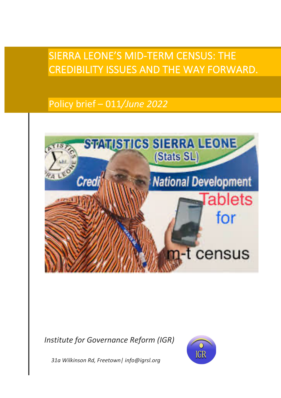# SIERRA LEONE'S MID-TERM CENSUS: THE CREDIBILITY ISSUES AND THE WAY FORWARD.

# Policy brief – 011*/June 2022*



*Institute for Governance Reform (IGR)*



 *31a Wilkinson Rd, Freetown| info@igrsl.org*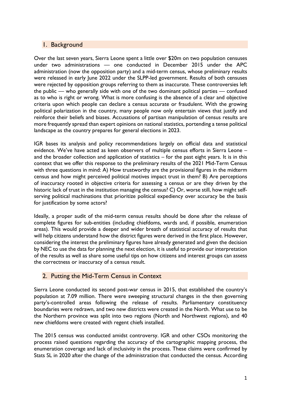#### 1. Background

Over the last seven years, Sierra Leone spent a little over \$20m on two population censuses under two administrations — one conducted in December 2015 under the APC administration (now the opposition party) and a mid-term census, whose preliminary results were released in early June 2022 under the SLPP-led government. Results of both censuses were rejected by opposition groups referring to them as inaccurate. These controversies left the public — who generally side with one of the two dominant political parties — confused as to who is right or wrong. What is more confusing is the absence of a clear and objective criteria upon which people can declare a census accurate or fraudulent. With the growing political polarization in the country, many people now only entertain views that justify and reinforce their beliefs and biases. Accusations of partisan manipulation of census results are more frequently spread than expert opinions on national statistics, portending a tense political landscape as the country prepares for general elections in 2023.

IGR bases its analysis and policy recommendations largely on official data and statistical evidence. We've have acted as keen observers of multiple census efforts in Sierra Leone – and the broader collection and application of statistics – for the past eight years. It is in this context that we offer this response to the preliminary results of the 2021 Mid-Term Census with three questions in mind: A) How trustworthy are the provisional figures in the midterm census and how might perceived political motives impact trust in them? B) Are perceptions of inaccuracy rooted in objective criteria for assessing a census or are they driven by the historic lack of trust in the institution managing the census? C) Or, worse still, how might selfserving political machinations that prioritize political expediency over accuracy be the basis for justification by some actors?

Ideally, a proper audit of the mid-term census results should be done after the release of complete figures for sub-entities (including chiefdoms, wards and, if possible, enumeration areas). This would provide a deeper and wider breath of statistical accuracy of results that will help citizens understand how the district figures were derived in the first place. However, considering the interest the preliminary figures have already generated and given the decision by NEC to use the data for planning the next election, it is useful to provide our interpretation of the results as well as share some useful tips on how citizens and interest groups can assess the correctness or inaccuracy of a census result.

## 2. Putting the Mid-Term Census in Context

Sierra Leone conducted its second post-war census in 2015, that established the country's population at 7.09 million. There were sweeping structural changes in the then governing party's-controlled areas following the release of results. Parliamentary constituency boundaries were redrawn, and two new districts were created in the North. What use to be the Northern province was split into two regions (North and Northwest regions), and 40 new chiefdoms were created with regent chiefs installed.

The 2015 census was conducted amidst controversy. IGR and other CSOs monitoring the process raised questions regarding the accuracy of the cartographic mapping process, the enumeration coverage and lack of inclusivity in the process. These claims were confirmed by Stats SL in 2020 after the change of the administration that conducted the census. According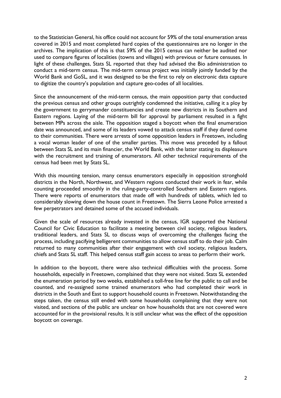to the Statistician General, his office could not account for 59% of the total enumeration areas covered in 2015 and most completed hard copies of the questionnaires are no longer in the archives. The implication of this is that 59% of the 2015 census can neither be audited nor used to compare figures of localities (towns and villages) with previous or future censuses. In light of these challenges, Stats SL reported that they had advised the Bio administration to conduct a mid-term census. The mid-term census project was initially jointly funded by the World Bank and GoSL, and it was designed to be the first to rely on electronic data capture to digitize the country's population and capture geo-codes of all localities.

Since the announcement of the mid-term census, the main opposition party that conducted the previous census and other groups outrightly condemned the initiative, calling it a ploy by the government to gerrymander constituencies and create new districts in its Southern and Eastern regions. Laying of the mid-term bill for approval by parliament resulted in a fight between MPs across the aisle. The opposition staged a boycott when the final enumeration date was announced, and some of its leaders vowed to attack census staff if they dared come to their communities. There were arrests of some opposition leaders in Freetown, including a vocal woman leader of one of the smaller parties. This move was preceded by a fallout between Stats SL and its main financier, the World Bank, with the latter stating its displeasure with the recruitment and training of enumerators. All other technical requirements of the census had been met by Stats SL.

With this mounting tension, many census enumerators especially in opposition stronghold districts in the North, Northwest, and Western regions conducted their work in fear, while counting proceeded smoothly in the ruling-party-controlled Southern and Eastern regions. There were reports of enumerators that made off with hundreds of tablets, which led to considerably slowing down the house count in Freetown. The Sierra Leone Police arrested a few perpetrators and detained some of the accused individuals.

Given the scale of resources already invested in the census, IGR supported the National Council for Civic Education to facilitate a meeting between civil society, religious leaders, traditional leaders, and Stats SL to discuss ways of overcoming the challenges facing the process, including pacifying belligerent communities to allow census staff to do their job. Calm returned to many communities after their engagement with civil society, religious leaders, chiefs and Stats SL staff. This helped census staff gain access to areas to perform their work.

In addition to the boycott, there were also technical difficulties with the process. Some households, especially in Freetown, complained that they were not visited. Stats SL extended the enumeration period by two weeks, established a toll-free line for the public to call and be counted, and re-assigned some trained enumerators who had completed their work in districts in the South and East to support household counts in Freetown. Notwithstanding the steps taken, the census still ended with some households complaining that they were not visited, and sections of the public are unclear on how households that are not covered were accounted for in the provisional results. It is still unclear what was the effect of the opposition boycott on coverage.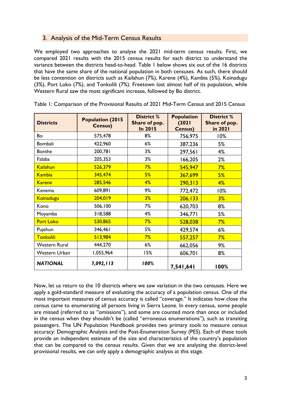## 3. Analysis of the Mid-Term Census Results

We employed two approaches to analyse the 2021 mid-term census results. First, we compared 2021 results with the 2015 census results for each district to understand the variance between the districts head-to-head. Table 1 below shows six out of the 16 districts that have the same share of the national population in both censuses. As such, there should be less contention on districts such as Kailahun (7%), Karene (4%), Kambia (5%), Koinadugu (3%), Port Loko (7%), and Tonkolili (7%). Freetown lost almost half of its population, while Western Rural saw the most significant increase, followed by Bo district.

| <b>Districts</b>     | <b>Population (2015</b><br><b>Census)</b> | <b>District %</b><br>Share of pop.<br>In 2015 | <b>Population</b><br>(2021)<br><b>Census)</b> | <b>District %</b><br>Share of pop.<br>in 2021 |  |
|----------------------|-------------------------------------------|-----------------------------------------------|-----------------------------------------------|-----------------------------------------------|--|
| Bo                   | 575,478                                   | 8%                                            | 756,975                                       | 10%                                           |  |
| Bombali              | 422,960                                   | 6%                                            | 387,236                                       | 5%                                            |  |
| <b>Bonthe</b>        | 200,781                                   | 3%                                            | 297,561                                       | 4%                                            |  |
| Falaba               | 205,353                                   | 3%                                            | 166,205                                       | 2%                                            |  |
| <b>Kailahun</b>      | 526,379                                   | 7%                                            | 545,947                                       | 7%                                            |  |
| <b>Kambia</b>        | 345,474                                   | 5%                                            | 367,699                                       | 5%                                            |  |
| <b>Karene</b>        | 285,546                                   | 4%                                            | 290,313                                       | 4%                                            |  |
| Kenema               | 609,891                                   | 9%                                            | 772,472                                       | 10%                                           |  |
| Koinadugu            | 204,019                                   | 3%                                            | 206, 133                                      | 3%                                            |  |
| Kono                 | 506,100                                   | 7%                                            | 620,703                                       | 8%                                            |  |
| Moyamba              | 318,588                                   | 4%                                            | 346,771                                       | 5%                                            |  |
| <b>Port Loko</b>     | 530,865                                   | 7%                                            | 528,038                                       | 7%                                            |  |
| Pujehun              | 346,461                                   | 5%                                            | 429,574                                       | 6%                                            |  |
| Tonkolili            | 513,984                                   | 7%                                            | 557,257                                       | 7%                                            |  |
| <b>Western Rural</b> | 444,270                                   | 6%                                            | 662,056                                       | 9%                                            |  |
| Western Urban        | 1,055,964                                 | 15%                                           | 606,701                                       | 8%                                            |  |
| <b>NATIONAL</b>      | 7,092,113                                 | 100%                                          | 7,541,641                                     | 100%                                          |  |

Table 1: Comparison of the Provisional Results of 2021 Mid-Term Census and 2015 Census

Now, let us return to the 10 districts where we saw variation in the two censuses. Here we apply a gold-standard measure of evaluating the accuracy of a population census. One of the most important measures of census accuracy is called "coverage." It indicates how close the census came to enumerating all persons living in Sierra Leone. In every census, some people are missed (referred to as "omissions"), and some are counted more than once or included in the census when they shouldn't be (called "erroneous enumerations"), such as transiting passengers. The UN Population Handbook provides two primary tools to measure census accuracy: Demographic Analysis and the Post-Enumeration Survey (PES). Each of these tools provide an independent estimate of the size and characteristics of the country's population that can be compared to the census results. Given that we are analysing the district-level provisional results, we can only apply a demographic analysis at this stage.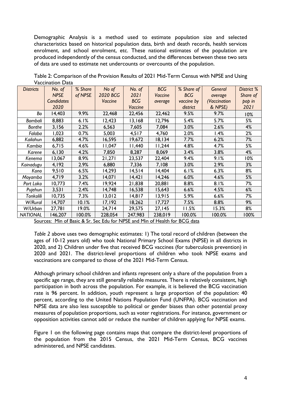Demographic Analysis is a method used to estimate population size and selected characteristics based on historical population data, birth and death records, health services enrolment, and school enrolment, etc. These national estimates of the population are produced independently of the census conducted, and the differences between these two sets of data are used to estimate net undercounts or overcounts of the population.

| <b>Districts</b> | No. of            | % Share | No of    | No. of     | <b>BCG</b> | % Share of | General      | District % |
|------------------|-------------------|---------|----------|------------|------------|------------|--------------|------------|
|                  | <b>NPSE</b>       | of NPSE | 2020 BCG | 2021       | Vaccine    | <b>BCG</b> | average      | Share of   |
|                  | <b>Candidates</b> |         | Vaccine  | <b>BCG</b> | average    | vaccine by | (Vaccination | pop in     |
|                  | 2020              |         |          | Vaccine    |            | district   | & NPSE)      | 2021       |
| Bo               | 14,403            | 9.9%    | 22,468   | 22,456     | 22,462     | 9.5%       | 9.7%         | 10%        |
| Bombali          | 8,883             | 6.1%    | 12,423   | 13,168     | 12,796     | 5.4%       | 5.7%         | 5%         |
| <b>Bonthe</b>    | 3,156             | 2.2%    | 6,563    | 7,605      | 7,084      | 3.0%       | 2.6%         | 4%         |
| Falaba           | 1,023             | 0.7%    | 5,003    | 4,517      | 4,760      | 2.0%       | l.4%         | 2%         |
| Kailahun         | 6,882             | 4.7%    | 16,595   | 19,672     | 18,134     | 7.7%       | 6.2%         | 7%         |
| Kambia           | 6,715             | 4.6%    | 11,047   | 11,440     | 11,244     | 4.8%       | 4.7%         | 5%         |
| Karene           | 6,130             | 4.2%    | 7,850    | 8,287      | 8,069      | 3.4%       | 3.8%         | 4%         |
| Kenema           | 13,067            | 8.9%    | 21,271   | 23,537     | 22,404     | 9.4%       | 9.1%         | 10%        |
| Koinadugu        | 4,192             | 2.9%    | 6,880    | 7,336      | 7,108      | 3.0%       | 2.9%         | 3%         |
| Kono             | 9,510             | 6.5%    | 14,293   | 14,514     | 14,404     | 6.1%       | 6.3%         | 8%         |
| Moyamba          | 4,719             | 3.2%    | 14,071   | 14,421     | 14,246     | 6.0%       | 4.6%         | 5%         |
| Port Loko        | 10,773            | 7.4%    | 19,924   | 21,838     | 20,881     | 8.8%       | 8.1%         | 7%         |
| Pujehun          | 3,531             | 2.4%    | 14,748   | 16,538     | 15,643     | 6.6%       | 4.5%         | 6%         |
| Tonkolili        | 10,735            | 7.3%    | 13,012   | 14,817     | 13,915     | 5.9%       | 6.6%         | 7%         |
| W/Rural          | 14,707            | 10.1%   | 17,192   | 18,262     | 17,727     | 7.5%       | 8.8%         | 9%         |
| W/Urban          | 27,781            | 19.0%   | 24,714   | 29,575     | 27,145     | 11.5%      | 15.3%        | 8%         |
| <b>NATIONAL</b>  | 146,207           | 100.0%  | 228,054  | 247,983    | 238,019    | 100.0%     | 100.0%       | 100%       |

Table 2: Comparison of the Provision Results of 2021 Mid-Term Census with NPSE and Using Vaccination Data

Sources: Min of Basic & Sr. Sec Edu for NPSE and Min of Health for BCG data

*Table 2* above uses two demographic estimates: 1) The total record of children (between the ages of 10-12 years old) who took National Primary School Exams (NPSE) in all districts in 2020, and 2) Children under five that received BCG vaccines (for tuberculosis prevention) in 2020 and 2021. The district-level proportions of children who took NPSE exams and vaccinations are compared to those of the 2021 Mid-Term Census.

Although primary school children and infants represent only a share of the population from a specific age range, they are still generally reliable measures. There is relatively consistent, high participation in both across the population. For example, it is believed the BCG vaccination rate is 96 percent. In addition, youth represent a large proportion of the population: 40 percent, according to the United Nations Population Fund (UNFPA). BCG vaccination and NPSE data are also less susceptible to political or gender biases than other potential proxy measures of population proportions, such as voter registrations. For instance, government or opposition activities cannot add or reduce the number of children applying for NPSE exams.

Figure 1 on the following page contains maps that compare the district-level proportions of the population from the 2015 Census, the 2021 Mid-Term Census, BCG vaccines administered, and NPSE candidates.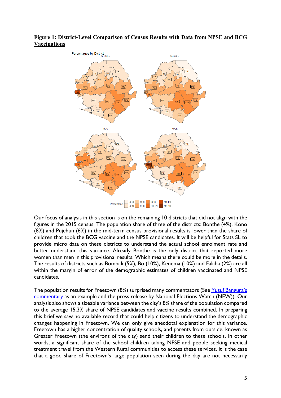#### **Figure 1: District-Level Comparison of Census Results with Data from NPSE and BCG Vaccinations**



Our focus of analysis in this section is on the remaining 10 districts that did not align with the figures in the 2015 census. The population share of three of the districts: Bonthe (4%), Kono (8%) and Pujehun (6%) in the mid-term census provisional results is lower than the share of children that took the BCG vaccine and the NPSE candidates. It will be helpful for Stats SL to provide micro data on these districts to understand the actual school enrolment rate and better understand this variance. Already Bonthe is the only district that reported more women than men in this provisional results. Which means there could be more in the details. The results of districts such as Bombali (5%), Bo (10%), Kenema (10%) and Falaba (2%) are all within the margin of error of the demographic estimates of children vaccinated and NPSE candidates.

The population results for Freetown (8%) surprised many commentators (See Yusuf Bangura's commentary as an example and the press release by National Elections Watch (NEW)). Our analysis also shows a sizeable variance between the city's 8% share of the population compared to the average 15.3% share of NPSE candidates and vaccine results combined. In preparing this brief we saw no available record that could help citizens to understand the demographic changes happening in Freetown. We can only give anecdotal explanation for this variance. Freetown has a higher concentration of quality schools, and parents from outside, known as Greater Freetown (the environs of the city) send their children to these schools. In other words, a significant share of the school children taking NPSE and people seeking medical treatment travel from the Western Rural communities to access these services. It is the case that a good share of Freetown's large population seen during the day are not necessarily